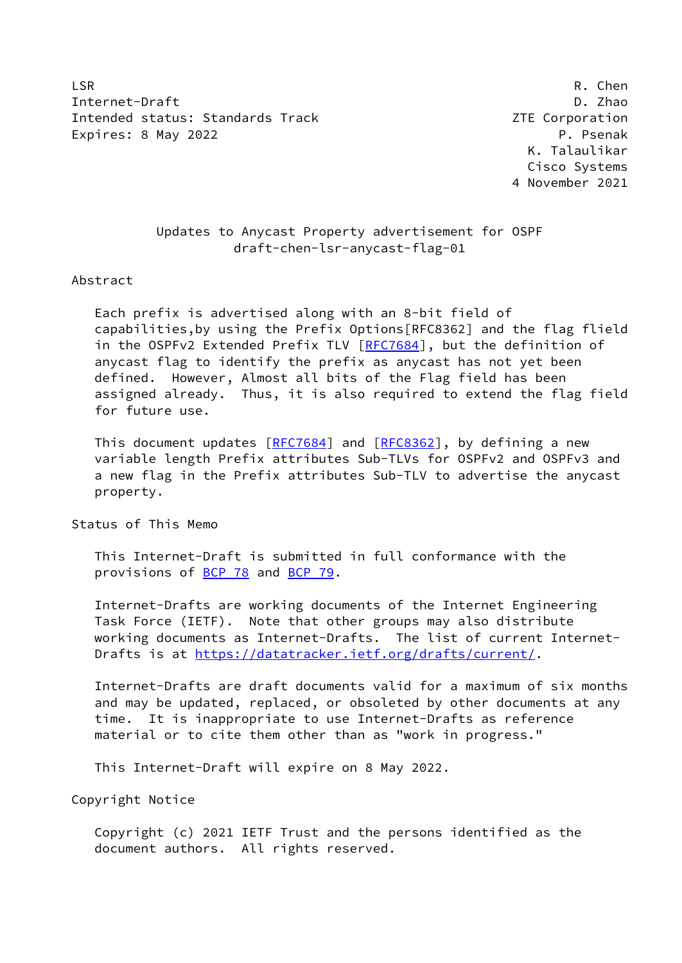LSR R. Chen Internet-Draft D. Zhao Intended status: Standards Track Corporation 2TE Corporation Expires: 8 May 2022 **P. Participally Expires: 8 May 2022** 

 K. Talaulikar Cisco Systems 4 November 2021

## Updates to Anycast Property advertisement for OSPF draft-chen-lsr-anycast-flag-01

#### Abstract

 Each prefix is advertised along with an 8-bit field of capabilities,by using the Prefix Options[RFC8362] and the flag flield in the OSPFv2 Extended Prefix TLV [[RFC7684](https://datatracker.ietf.org/doc/pdf/rfc7684)], but the definition of anycast flag to identify the prefix as anycast has not yet been defined. However, Almost all bits of the Flag field has been assigned already. Thus, it is also required to extend the flag field for future use.

This document updates [[RFC7684](https://datatracker.ietf.org/doc/pdf/rfc7684)] and [\[RFC8362](https://datatracker.ietf.org/doc/pdf/rfc8362)], by defining a new variable length Prefix attributes Sub-TLVs for OSPFv2 and OSPFv3 and a new flag in the Prefix attributes Sub-TLV to advertise the anycast property.

Status of This Memo

 This Internet-Draft is submitted in full conformance with the provisions of [BCP 78](https://datatracker.ietf.org/doc/pdf/bcp78) and [BCP 79](https://datatracker.ietf.org/doc/pdf/bcp79).

 Internet-Drafts are working documents of the Internet Engineering Task Force (IETF). Note that other groups may also distribute working documents as Internet-Drafts. The list of current Internet- Drafts is at<https://datatracker.ietf.org/drafts/current/>.

 Internet-Drafts are draft documents valid for a maximum of six months and may be updated, replaced, or obsoleted by other documents at any time. It is inappropriate to use Internet-Drafts as reference material or to cite them other than as "work in progress."

This Internet-Draft will expire on 8 May 2022.

Copyright Notice

 Copyright (c) 2021 IETF Trust and the persons identified as the document authors. All rights reserved.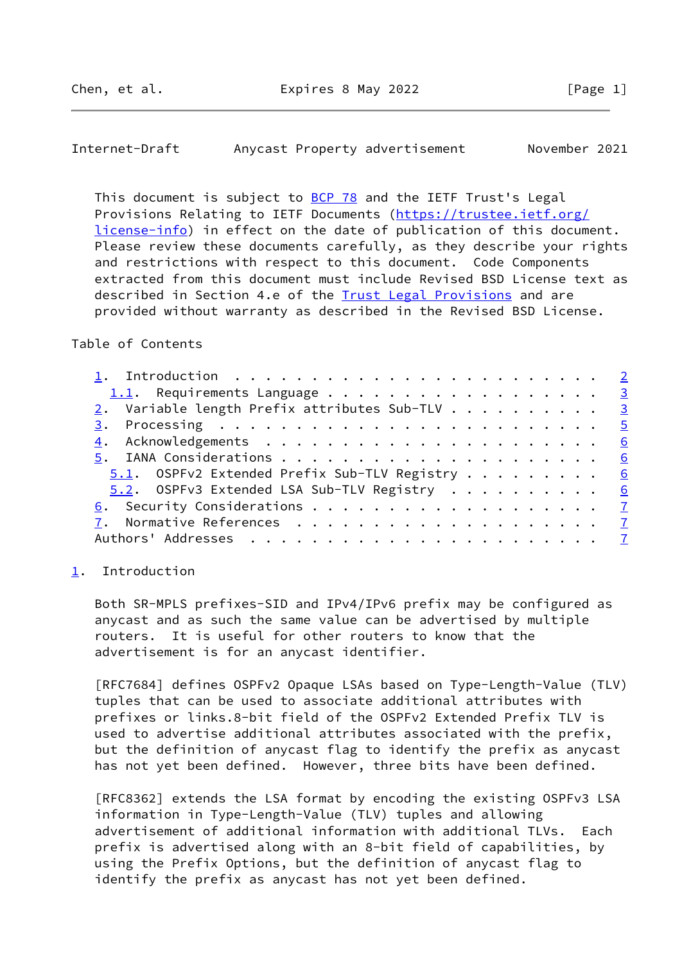<span id="page-1-1"></span>Internet-Draft Anycast Property advertisement November 2021

This document is subject to [BCP 78](https://datatracker.ietf.org/doc/pdf/bcp78) and the IETF Trust's Legal Provisions Relating to IETF Documents ([https://trustee.ietf.org/](https://trustee.ietf.org/license-info) [license-info](https://trustee.ietf.org/license-info)) in effect on the date of publication of this document. Please review these documents carefully, as they describe your rights and restrictions with respect to this document. Code Components extracted from this document must include Revised BSD License text as described in Section 4.e of the **Trust Legal Provisions** and are provided without warranty as described in the Revised BSD License.

## Table of Contents

| 1. Introduction $\ldots \ldots \ldots \ldots \ldots \ldots \ldots \ldots \ldots$ |  |  |  |
|----------------------------------------------------------------------------------|--|--|--|
| 1.1. Requirements Language 3                                                     |  |  |  |
| 2. Variable length Prefix attributes Sub-TLV 3                                   |  |  |  |
|                                                                                  |  |  |  |
|                                                                                  |  |  |  |
|                                                                                  |  |  |  |
| 5.1. OSPFv2 Extended Prefix Sub-TLV Registry 6                                   |  |  |  |
| 5.2. OSPFv3 Extended LSA Sub-TLV Registry 6                                      |  |  |  |
|                                                                                  |  |  |  |
|                                                                                  |  |  |  |
|                                                                                  |  |  |  |

#### <span id="page-1-0"></span>[1](#page-1-0). Introduction

 Both SR-MPLS prefixes-SID and IPv4/IPv6 prefix may be configured as anycast and as such the same value can be advertised by multiple routers. It is useful for other routers to know that the advertisement is for an anycast identifier.

 [RFC7684] defines OSPFv2 Opaque LSAs based on Type-Length-Value (TLV) tuples that can be used to associate additional attributes with prefixes or links.8-bit field of the OSPFv2 Extended Prefix TLV is used to advertise additional attributes associated with the prefix, but the definition of anycast flag to identify the prefix as anycast has not yet been defined. However, three bits have been defined.

 [RFC8362] extends the LSA format by encoding the existing OSPFv3 LSA information in Type-Length-Value (TLV) tuples and allowing advertisement of additional information with additional TLVs. Each prefix is advertised along with an 8-bit field of capabilities, by using the Prefix Options, but the definition of anycast flag to identify the prefix as anycast has not yet been defined.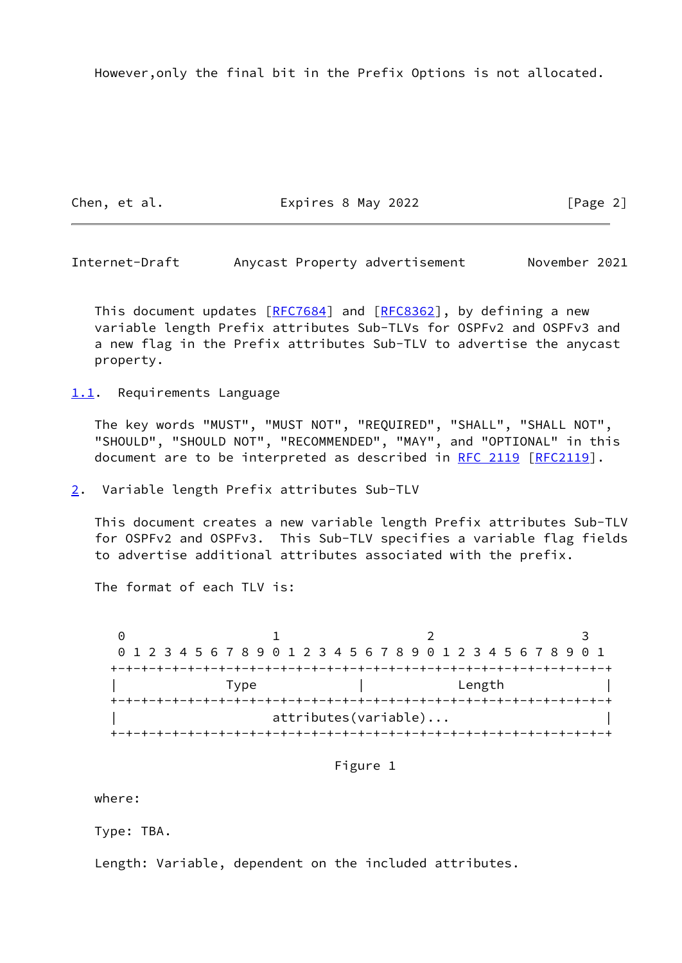However,only the final bit in the Prefix Options is not allocated.

Chen, et al. **Expires 8 May 2022** [Page 2]

<span id="page-2-1"></span>Internet-Draft Anycast Property advertisement November 2021

This document updates [[RFC7684](https://datatracker.ietf.org/doc/pdf/rfc7684)] and [\[RFC8362](https://datatracker.ietf.org/doc/pdf/rfc8362)], by defining a new variable length Prefix attributes Sub-TLVs for OSPFv2 and OSPFv3 and a new flag in the Prefix attributes Sub-TLV to advertise the anycast property.

<span id="page-2-0"></span>[1.1](#page-2-0). Requirements Language

 The key words "MUST", "MUST NOT", "REQUIRED", "SHALL", "SHALL NOT", "SHOULD", "SHOULD NOT", "RECOMMENDED", "MAY", and "OPTIONAL" in this document are to be interpreted as described in [RFC 2119 \[RFC2119](https://datatracker.ietf.org/doc/pdf/rfc2119)].

<span id="page-2-2"></span>[2](#page-2-2). Variable length Prefix attributes Sub-TLV

 This document creates a new variable length Prefix attributes Sub-TLV for OSPFv2 and OSPFv3. This Sub-TLV specifies a variable flag fields to advertise additional attributes associated with the prefix.

The format of each TLV is:

0 1 2 3 0 1 2 3 4 5 6 7 8 9 0 1 2 3 4 5 6 7 8 9 0 1 2 3 4 5 6 7 8 9 0 1 +-+-+-+-+-+-+-+-+-+-+-+-+-+-+-+-+-+-+-+-+-+-+-+-+-+-+-+-+-+-+-+-+ | Type | Length | +-+-+-+-+-+-+-+-+-+-+-+-+-+-+-+-+-+-+-+-+-+-+-+-+-+-+-+-+-+-+-+-+ attributes(variable)... +-+-+-+-+-+-+-+-+-+-+-+-+-+-+-+-+-+-+-+-+-+-+-+-+-+-+-+-+-+-+-+-+

Figure 1

where:

Type: TBA.

Length: Variable, dependent on the included attributes.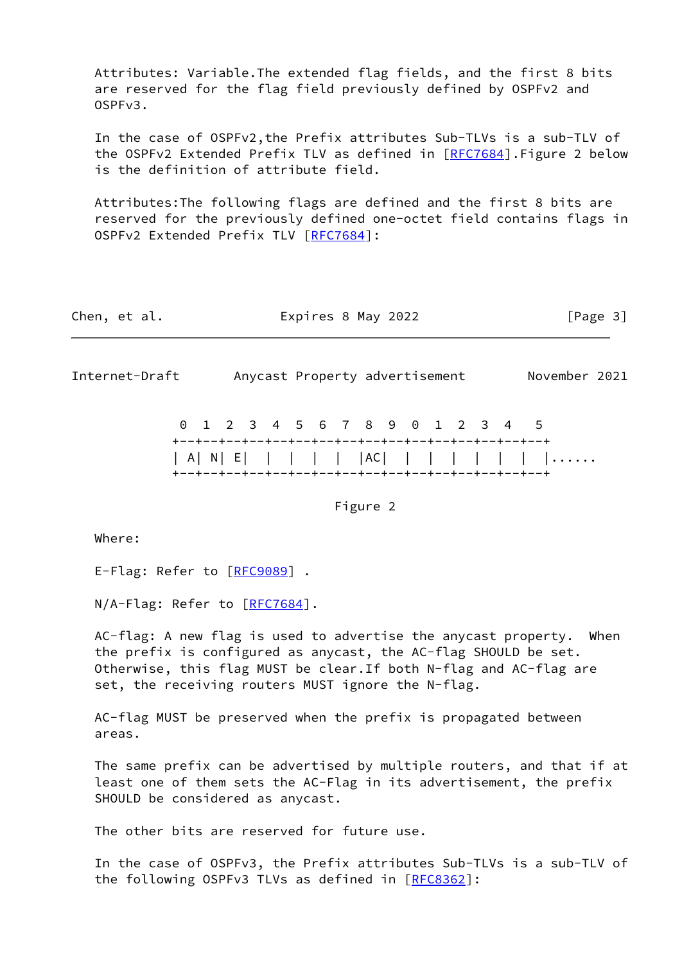Attributes: Variable.The extended flag fields, and the first 8 bits are reserved for the flag field previously defined by OSPFv2 and OSPFv3.

 In the case of OSPFv2,the Prefix attributes Sub-TLVs is a sub-TLV of the OSPFv2 Extended Prefix TLV as defined in [\[RFC7684](https://datatracker.ietf.org/doc/pdf/rfc7684)]. Figure 2 below is the definition of attribute field.

 Attributes:The following flags are defined and the first 8 bits are reserved for the previously defined one-octet field contains flags in OSPFv2 Extended Prefix TLV [[RFC7684\]](https://datatracker.ietf.org/doc/pdf/rfc7684):

| Expires 8 May 2022<br>Chen, et al. | [Page 3] |
|------------------------------------|----------|
|------------------------------------|----------|

Internet-Draft Anycast Property advertisement November 2021

 0 1 2 3 4 5 6 7 8 9 0 1 2 3 4 5 +--+--+--+--+--+--+--+--+--+--+--+--+--+--+--+--+ | A| N| E| | | | | |AC| | | | | | | |...... +--+--+--+--+--+--+--+--+--+--+--+--+--+--+--+--+

Figure 2

Where:

E-Flag: Refer to [\[RFC9089](https://datatracker.ietf.org/doc/pdf/rfc9089)].

N/A-Flag: Refer to [[RFC7684\]](https://datatracker.ietf.org/doc/pdf/rfc7684).

 AC-flag: A new flag is used to advertise the anycast property. When the prefix is configured as anycast, the AC-flag SHOULD be set. Otherwise, this flag MUST be clear.If both N-flag and AC-flag are set, the receiving routers MUST ignore the N-flag.

 AC-flag MUST be preserved when the prefix is propagated between areas.

 The same prefix can be advertised by multiple routers, and that if at least one of them sets the AC-Flag in its advertisement, the prefix SHOULD be considered as anycast.

The other bits are reserved for future use.

 In the case of OSPFv3, the Prefix attributes Sub-TLVs is a sub-TLV of the following OSPFv3 TLVs as defined in [\[RFC8362](https://datatracker.ietf.org/doc/pdf/rfc8362)]: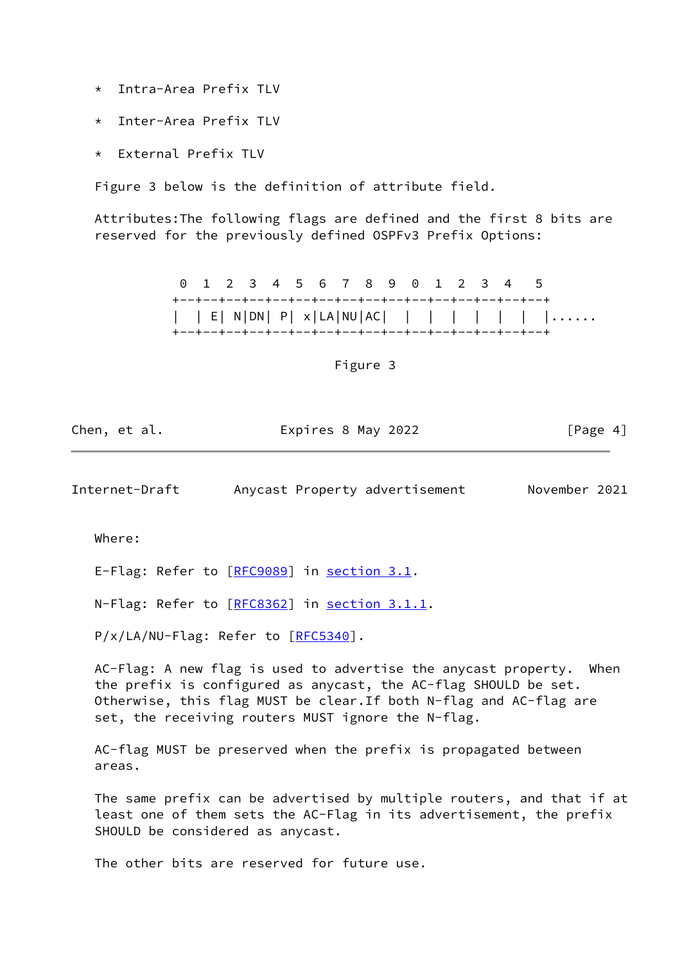- \* Intra-Area Prefix TLV
- Inter-Area Prefix TLV
- External Prefix TLV

Figure 3 below is the definition of attribute field.

 Attributes:The following flags are defined and the first 8 bits are reserved for the previously defined OSPFv3 Prefix Options:

> 0 1 2 3 4 5 6 7 8 9 0 1 2 3 4 5 +--+--+--+--+--+--+--+--+--+--+--+--+--+--+--+--+ | | E| N|DN| P| x|LA|NU|AC| | | | | | | |...... +--+--+--+--+--+--+--+--+--+--+--+--+--+--+--+--+

> > Figure 3

| Chen, et al. | Expires 8 May 2022 | [Page 4] |
|--------------|--------------------|----------|
|--------------|--------------------|----------|

<span id="page-4-0"></span>Internet-Draft Anycast Property advertisement November 2021

Where:

E-Flag: Refer to [\[RFC9089](https://datatracker.ietf.org/doc/pdf/rfc9089)] in section 3.1.

N-Flag: Refer to [\[RFC8362](https://datatracker.ietf.org/doc/pdf/rfc8362)] in section 3.1.1.

P/x/LA/NU-Flag: Refer to [\[RFC5340](https://datatracker.ietf.org/doc/pdf/rfc5340)].

 AC-Flag: A new flag is used to advertise the anycast property. When the prefix is configured as anycast, the AC-flag SHOULD be set. Otherwise, this flag MUST be clear.If both N-flag and AC-flag are set, the receiving routers MUST ignore the N-flag.

 AC-flag MUST be preserved when the prefix is propagated between areas.

 The same prefix can be advertised by multiple routers, and that if at least one of them sets the AC-Flag in its advertisement, the prefix SHOULD be considered as anycast.

The other bits are reserved for future use.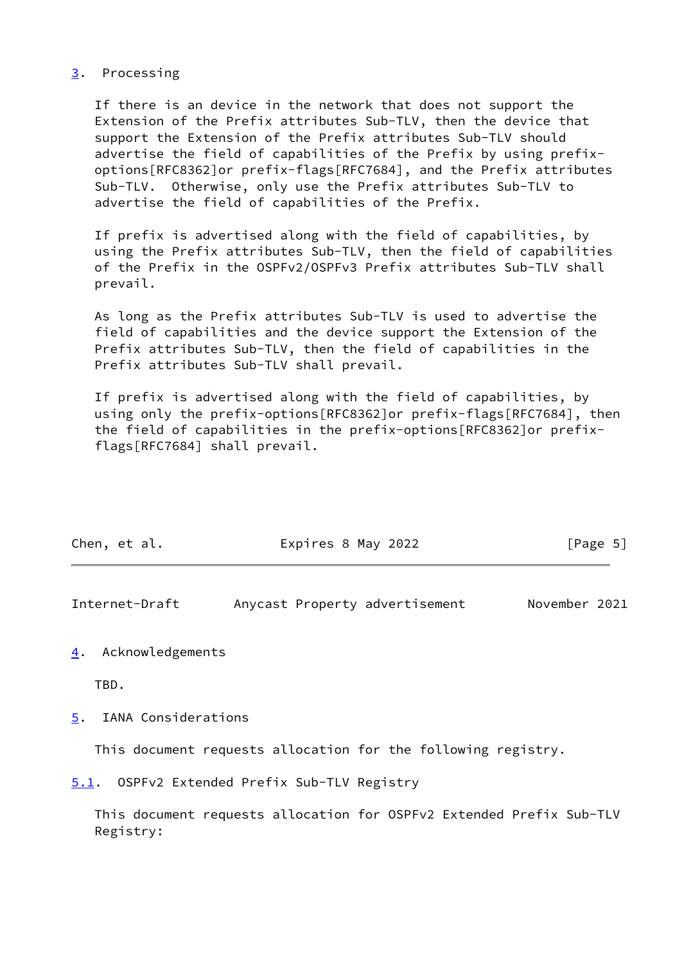### <span id="page-5-0"></span>[3](#page-5-0). Processing

 If there is an device in the network that does not support the Extension of the Prefix attributes Sub-TLV, then the device that support the Extension of the Prefix attributes Sub-TLV should advertise the field of capabilities of the Prefix by using prefix options[RFC8362]or prefix-flags[RFC7684], and the Prefix attributes Sub-TLV. Otherwise, only use the Prefix attributes Sub-TLV to advertise the field of capabilities of the Prefix.

 If prefix is advertised along with the field of capabilities, by using the Prefix attributes Sub-TLV, then the field of capabilities of the Prefix in the OSPFv2/OSPFv3 Prefix attributes Sub-TLV shall prevail.

 As long as the Prefix attributes Sub-TLV is used to advertise the field of capabilities and the device support the Extension of the Prefix attributes Sub-TLV, then the field of capabilities in the Prefix attributes Sub-TLV shall prevail.

 If prefix is advertised along with the field of capabilities, by using only the prefix-options[RFC8362]or prefix-flags[RFC7684], then the field of capabilities in the prefix-options[RFC8362]or prefix flags[RFC7684] shall prevail.

| Chen, et al. | Expires 8 May 2022 | [Page 5] |
|--------------|--------------------|----------|
|              |                    |          |

<span id="page-5-2"></span>Internet-Draft Anycast Property advertisement November 2021

#### <span id="page-5-1"></span>[4](#page-5-1). Acknowledgements

TBD.

<span id="page-5-3"></span>[5](#page-5-3). IANA Considerations

This document requests allocation for the following registry.

<span id="page-5-4"></span>[5.1](#page-5-4). OSPFv2 Extended Prefix Sub-TLV Registry

 This document requests allocation for OSPFv2 Extended Prefix Sub-TLV Registry: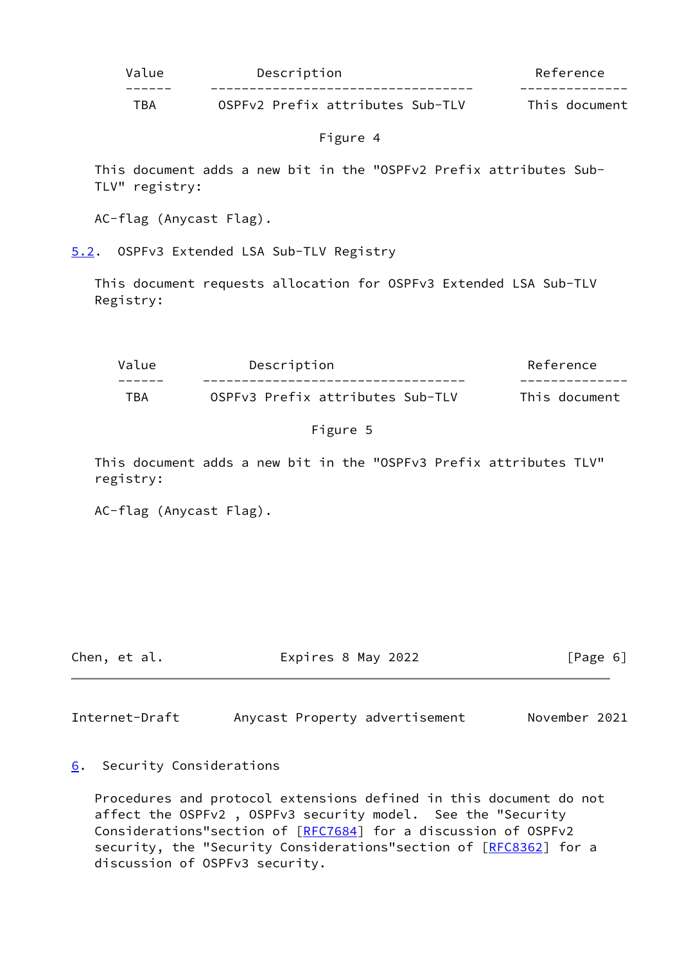| Value | Description                      | Reference     |
|-------|----------------------------------|---------------|
|       |                                  |               |
| TBA   | OSPEv2 Prefix attributes Sub-TLV | This document |

# Figure 4

 This document adds a new bit in the "OSPFv2 Prefix attributes Sub- TLV" registry:

AC-flag (Anycast Flag).

<span id="page-6-0"></span>[5.2](#page-6-0). OSPFv3 Extended LSA Sub-TLV Registry

 This document requests allocation for OSPFv3 Extended LSA Sub-TLV Registry:

| Value | Description                      | Reference     |
|-------|----------------------------------|---------------|
|       |                                  |               |
| TBA   | OSPFv3 Prefix attributes Sub-TLV | This document |

## Figure 5

 This document adds a new bit in the "OSPFv3 Prefix attributes TLV" registry:

AC-flag (Anycast Flag).

Chen, et al. Expires 8 May 2022 [Page 6]

<span id="page-6-2"></span>Internet-Draft Anycast Property advertisement November 2021

<span id="page-6-1"></span>[6](#page-6-1). Security Considerations

 Procedures and protocol extensions defined in this document do not affect the OSPFv2 , OSPFv3 security model. See the "Security Considerations"section of [[RFC7684](https://datatracker.ietf.org/doc/pdf/rfc7684)] for a discussion of OSPFv2 security, the "Security Considerations" section of [[RFC8362](https://datatracker.ietf.org/doc/pdf/rfc8362)] for a discussion of OSPFv3 security.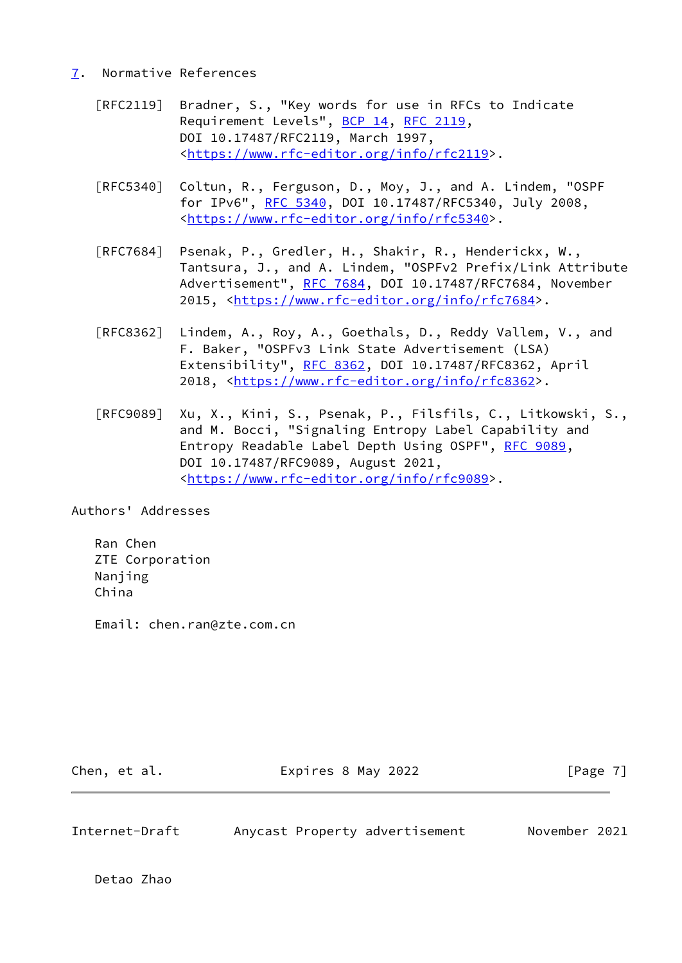## <span id="page-7-0"></span>[7](#page-7-0). Normative References

- [RFC2119] Bradner, S., "Key words for use in RFCs to Indicate Requirement Levels", [BCP 14](https://datatracker.ietf.org/doc/pdf/bcp14), [RFC 2119](https://datatracker.ietf.org/doc/pdf/rfc2119), DOI 10.17487/RFC2119, March 1997, <[https://www.rfc-editor.org/info/rfc2119>](https://www.rfc-editor.org/info/rfc2119).
- [RFC5340] Coltun, R., Ferguson, D., Moy, J., and A. Lindem, "OSPF for IPv6", [RFC 5340](https://datatracker.ietf.org/doc/pdf/rfc5340), DOI 10.17487/RFC5340, July 2008, <[https://www.rfc-editor.org/info/rfc5340>](https://www.rfc-editor.org/info/rfc5340).
- [RFC7684] Psenak, P., Gredler, H., Shakir, R., Henderickx, W., Tantsura, J., and A. Lindem, "OSPFv2 Prefix/Link Attribute Advertisement", [RFC 7684,](https://datatracker.ietf.org/doc/pdf/rfc7684) DOI 10.17487/RFC7684, November 2015, [<https://www.rfc-editor.org/info/rfc7684](https://www.rfc-editor.org/info/rfc7684)>.
- [RFC8362] Lindem, A., Roy, A., Goethals, D., Reddy Vallem, V., and F. Baker, "OSPFv3 Link State Advertisement (LSA) Extensibility", [RFC 8362,](https://datatracker.ietf.org/doc/pdf/rfc8362) DOI 10.17487/RFC8362, April 2018, [<https://www.rfc-editor.org/info/rfc8362](https://www.rfc-editor.org/info/rfc8362)>.
- [RFC9089] Xu, X., Kini, S., Psenak, P., Filsfils, C., Litkowski, S., and M. Bocci, "Signaling Entropy Label Capability and Entropy Readable Label Depth Using OSPF", [RFC 9089](https://datatracker.ietf.org/doc/pdf/rfc9089), DOI 10.17487/RFC9089, August 2021, <[https://www.rfc-editor.org/info/rfc9089>](https://www.rfc-editor.org/info/rfc9089).

Authors' Addresses

 Ran Chen ZTE Corporation Nanjing China

Email: chen.ran@zte.com.cn

| Chen, et al. | Expires 8 May 2022 | [Page 7] |
|--------------|--------------------|----------|
|              |                    |          |

Internet-Draft Anycast Property advertisement November 2021